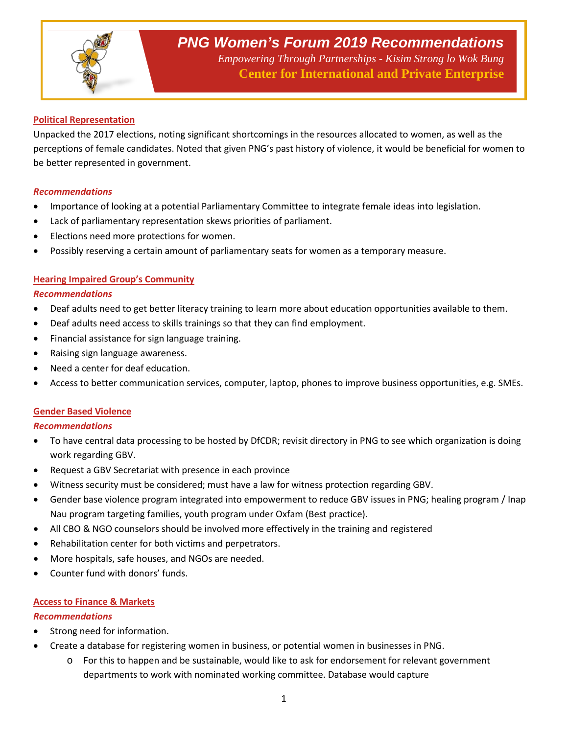

*Empowering Through Partnerships - Kisim Strong lo Wok Bung*  **Center for International and Private Enterprise**

## **Political Representation**

Unpacked the 2017 elections, noting significant shortcomings in the resources allocated to women, as well as the perceptions of female candidates. Noted that given PNG's past history of violence, it would be beneficial for women to be better represented in government.

### *Recommendations*

- Importance of looking at a potential Parliamentary Committee to integrate female ideas into legislation.
- Lack of parliamentary representation skews priorities of parliament.
- Elections need more protections for women.
- Possibly reserving a certain amount of parliamentary seats for women as a temporary measure.

### **Hearing Impaired Group's Community**

#### *Recommendations*

- Deaf adults need to get better literacy training to learn more about education opportunities available to them.
- Deaf adults need access to skills trainings so that they can find employment.
- Financial assistance for sign language training.
- Raising sign language awareness.
- Need a center for deaf education.
- Access to better communication services, computer, laptop, phones to improve business opportunities, e.g. SMEs.

### **Gender Based Violence**

### *Recommendations*

- To have central data processing to be hosted by DfCDR; revisit directory in PNG to see which organization is doing work regarding GBV.
- Request a GBV Secretariat with presence in each province
- Witness security must be considered; must have a law for witness protection regarding GBV.
- Gender base violence program integrated into empowerment to reduce GBV issues in PNG; healing program / Inap Nau program targeting families, youth program under Oxfam (Best practice).
- All CBO & NGO counselors should be involved more effectively in the training and registered
- Rehabilitation center for both victims and perpetrators.
- More hospitals, safe houses, and NGOs are needed.
- Counter fund with donors' funds.

### **Access to Finance & Markets**

### *Recommendations*

- Strong need for information.
- Create a database for registering women in business, or potential women in businesses in PNG.
	- o For this to happen and be sustainable, would like to ask for endorsement for relevant government departments to work with nominated working committee. Database would capture